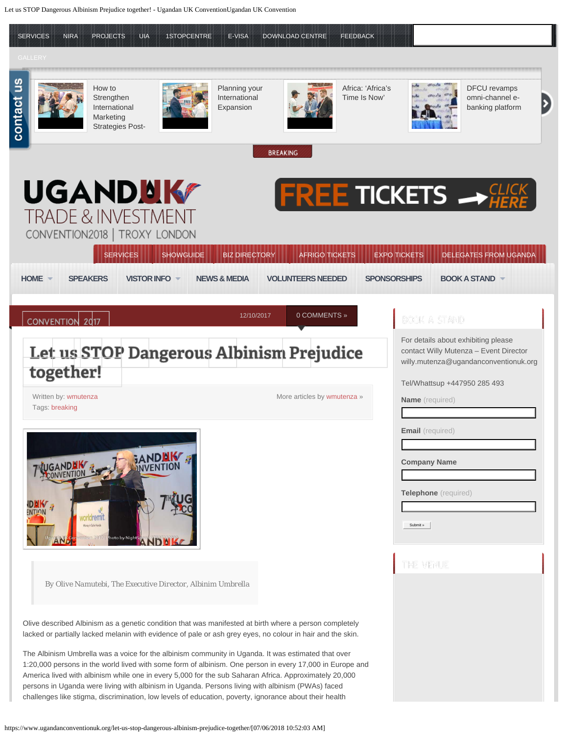<span id="page-0-0"></span>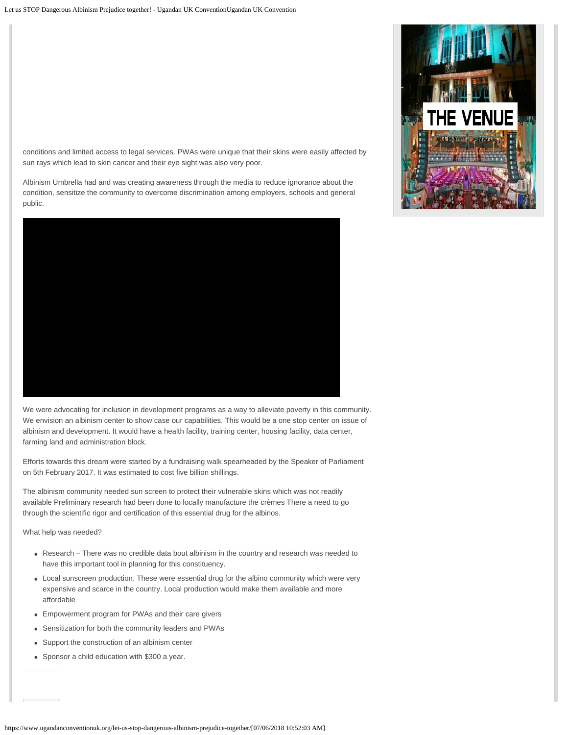conditions and limited access to legal services. PWAs were unique that their skins were easily affected by sun rays which lead to skin cancer and their eye sight was also very poor.

Albinism Umbrella had and was creating awareness through the media to reduce ignorance about the condition, sensitize the community to overcome discrimination among employers, schools and general public.



We were advocating for inclusion in development programs as a way to alleviate poverty in this community. We envision an albinism center to show case our capabilities. This would be a one stop center on issue of albinism and development. It would have a health facility, training center, housing facility, data center, farming land and administration block.

Efforts towards this dream were started by a fundraising walk spearheaded by the Speaker of Parliament on 5th February 2017. It was estimated to cost five billion shillings.

The albinism community needed sun screen to protect their vulnerable skins which was not readily available Preliminary research had been done to locally manufacture the crèmes There a need to go through the scientific rigor and certification of this essential drug for the albinos.

What help was needed?

- Research There was no credible data bout albinism in the country and research was needed to have this important tool in planning for this constituency.
- Local sunscreen production. These were essential drug for the albino community which were very expensive and scarce in the country. Local production would make them available and more affordable
- Empowerment program for PWAs and their care givers
- Sensitization for both the community leaders and PWAs
- Support the construction of an albinism center
- Sponsor a child education with \$300 a year.

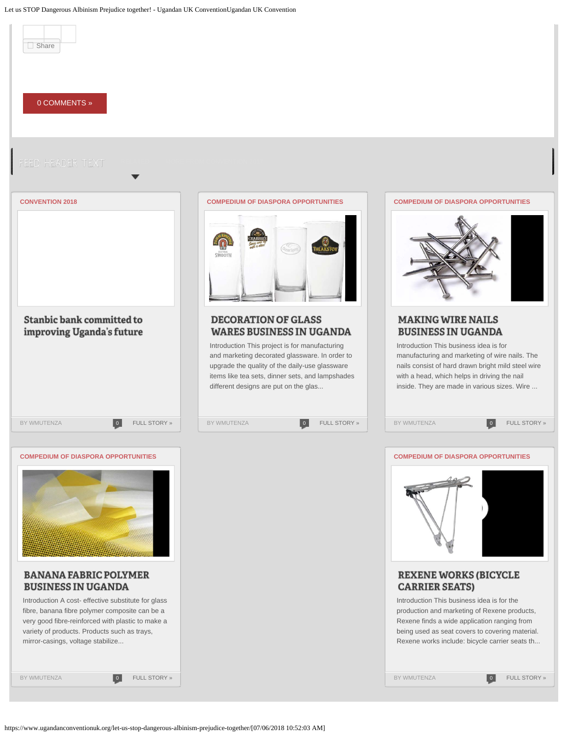Let us STOP Dangerous Albinism Prejudice together! - Ugandan UK ConventionUgandan UK Convention

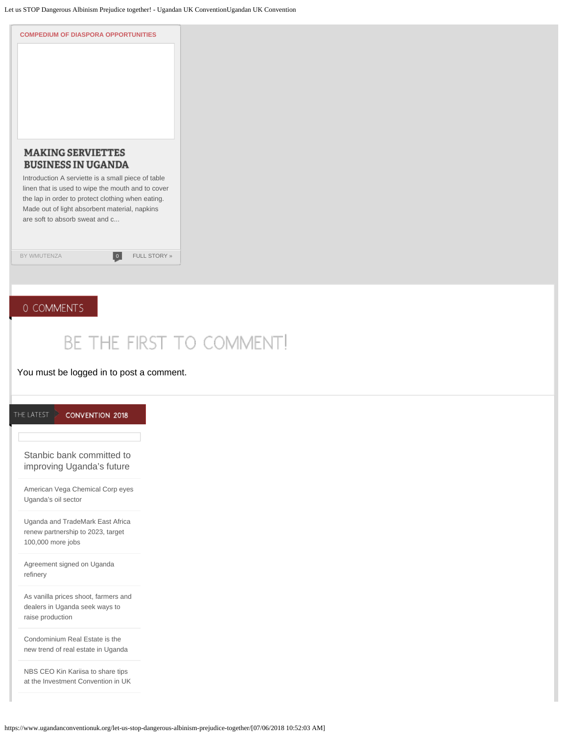

## BE THE FIRST TO COMMENT!

## You must be logged in to post a comment.

| Stanbic bank committed to<br>improving Uganda's future<br>American Vega Chemical Corp eyes<br>Uganda's oil sector<br>Uganda and TradeMark East Africa<br>renew partnership to 2023, target<br>100,000 more jobs<br>Agreement signed on Uganda<br>refinery<br>As vanilla prices shoot, farmers and |
|---------------------------------------------------------------------------------------------------------------------------------------------------------------------------------------------------------------------------------------------------------------------------------------------------|
|                                                                                                                                                                                                                                                                                                   |
|                                                                                                                                                                                                                                                                                                   |
|                                                                                                                                                                                                                                                                                                   |
|                                                                                                                                                                                                                                                                                                   |
| dealers in Uganda seek ways to<br>raise production                                                                                                                                                                                                                                                |
| Condominium Real Estate is the<br>new trend of real estate in Uganda                                                                                                                                                                                                                              |
| NBS CEO Kin Kariisa to share tips<br>at the Investment Convention in UK                                                                                                                                                                                                                           |